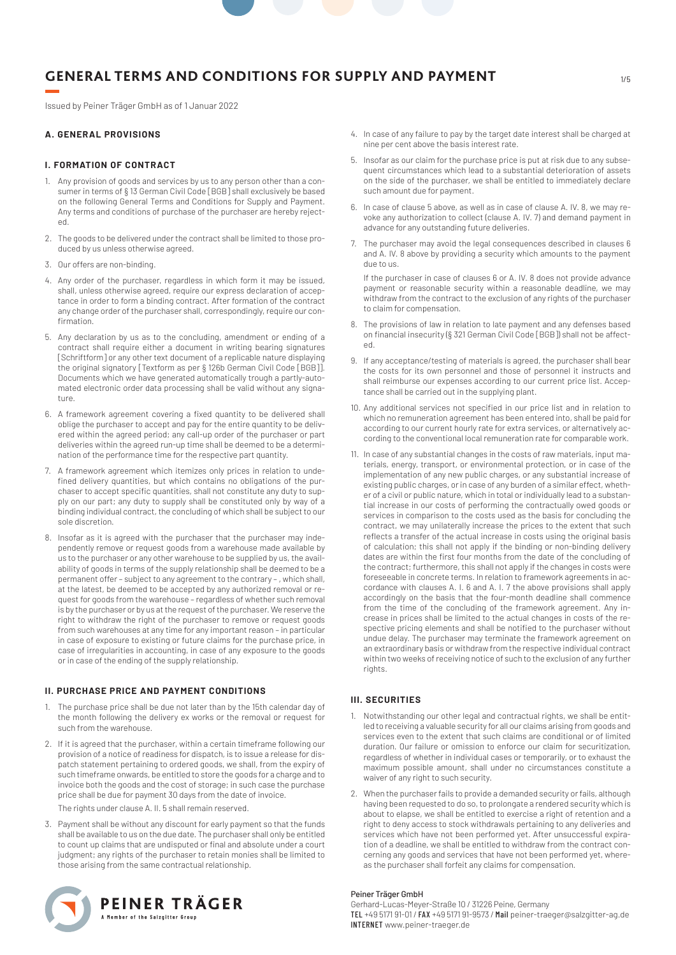Issued by Peiner Träger GmbH as of 1 Januar 2022

### **A. GENERAL PROVISIONS**

### **I. FORMATION OF CONTRACT**

- 1. Any provision of goods and services by us to any person other than a consumer in terms of § 13 German Civil Code [BGB] shall exclusively be based on the following General Terms and Conditions for Supply and Payment. Any terms and conditions of purchase of the purchaser are hereby rejected.
- 2. The goods to be delivered under the contract shall be limited to those produced by us unless otherwise agreed.
- 3. Our offers are non-binding.
- 4. Any order of the purchaser, regardless in which form it may be issued, shall, unless otherwise agreed, require our express declaration of acceptance in order to form a binding contract. After formation of the contract any change order of the purchaser shall, correspondingly, require our confirmation.
- 5. Any declaration by us as to the concluding, amendment or ending of a contract shall require either a document in writing bearing signatures [Schriftform] or any other text document of a replicable nature displaying the original signatory [Textform as per § 126b German Civil Code [BGB]]. Documents which we have generated automatically trough a partly-automated electronic order data processing shall be valid without any signature.
- 6. A framework agreement covering a fixed quantity to be delivered shall oblige the purchaser to accept and pay for the entire quantity to be delivered within the agreed period; any call-up order of the purchaser or part deliveries within the agreed run-up time shall be deemed to be a determination of the performance time for the respective part quantity.
- 7. A framework agreement which itemizes only prices in relation to undefined delivery quantities, but which contains no obligations of the purchaser to accept specific quantities, shall not constitute any duty to supply on our part; any duty to supply shall be constituted only by way of a binding individual contract, the concluding of which shall be subject to our sole discretion.
- 8. Insofar as it is agreed with the purchaser that the purchaser may independently remove or request goods from a warehouse made available by us to the purchaser or any other warehouse to be supplied by us, the availability of goods in terms of the supply relationship shall be deemed to be a permanent offer – subject to any agreement to the contrary – , which shall, at the latest, be deemed to be accepted by any authorized removal or request for goods from the warehouse – regardless of whether such removal is by the purchaser or by us at the request of the purchaser. We reserve the right to withdraw the right of the purchaser to remove or request goods from such warehouses at any time for any important reason – in particular in case of exposure to existing or future claims for the purchase price, in case of irregularities in accounting, in case of any exposure to the goods or in case of the ending of the supply relationship.

#### **II. PURCHASE PRICE AND PAYMENT CONDITIONS**

- 1. The purchase price shall be due not later than by the 15th calendar day of the month following the delivery ex works or the removal or request for such from the warehouse.
- 2. If it is agreed that the purchaser, within a certain timeframe following our provision of a notice of readiness for dispatch, is to issue a release for dispatch statement pertaining to ordered goods, we shall, from the expiry of such timeframe onwards, be entitled to store the goods for a charge and to invoice both the goods and the cost of storage; in such case the purchase price shall be due for payment 30 days from the date of invoice.

The rights under clause A. II. 5 shall remain reserved.

3. Payment shall be without any discount for early payment so that the funds shall be available to us on the due date. The purchaser shall only be entitled to count up claims that are undisputed or final and absolute under a court judgment; any rights of the purchaser to retain monies shall be limited to those arising from the same contractual relationship.



- 4. In case of any failure to pay by the target date interest shall be charged at nine per cent above the basis interest rate.
- 5. Insofar as our claim for the purchase price is put at risk due to any subsequent circumstances which lead to a substantial deterioration of assets on the side of the purchaser, we shall be entitled to immediately declare such amount due for payment.
- 6. In case of clause 5 above, as well as in case of clause A. IV. 8, we may revoke any authorization to collect (clause A. IV. 7) and demand payment in advance for any outstanding future deliveries.
- 7. The purchaser may avoid the legal consequences described in clauses 6 and A. IV. 8 above by providing a security which amounts to the payment due to us.

If the purchaser in case of clauses 6 or A. IV. 8 does not provide advance payment or reasonable security within a reasonable deadline, we may withdraw from the contract to the exclusion of any rights of the purchaser to claim for compensation.

- 8. The provisions of law in relation to late payment and any defenses based on financial insecurity (§ 321 German Civil Code [BGB]) shall not be affected.
- 9. If any acceptance/testing of materials is agreed, the purchaser shall bear the costs for its own personnel and those of personnel it instructs and shall reimburse our expenses according to our current price list. Acceptance shall be carried out in the supplying plant.
- 10. Any additional services not specified in our price list and in relation to which no remuneration agreement has been entered into, shall be paid for according to our current hourly rate for extra services, or alternatively according to the conventional local remuneration rate for comparable work.
- 11. In case of any substantial changes in the costs of raw materials, input materials, energy, transport, or environmental protection, or in case of the implementation of any new public charges, or any substantial increase of existing public charges, or in case of any burden of a similar effect, whether of a civil or public nature, which in total or individually lead to a substantial increase in our costs of performing the contractually owed goods or services in comparison to the costs used as the basis for concluding the contract, we may unilaterally increase the prices to the extent that such reflects a transfer of the actual increase in costs using the original basis of calculation; this shall not apply if the binding or non-binding delivery dates are within the first four months from the date of the concluding of the contract; furthermore, this shall not apply if the changes in costs were foreseeable in concrete terms. In relation to framework agreements in accordance with clauses A. I. 6 and A. I. 7 the above provisions shall apply accordingly on the basis that the four-month deadline shall commence from the time of the concluding of the framework agreement. Any increase in prices shall be limited to the actual changes in costs of the respective pricing elements and shall be notified to the purchaser without undue delay. The purchaser may terminate the framework agreement on an extraordinary basis or withdraw from the respective individual contract within two weeks of receiving notice of such to the exclusion of any further rights.

# **III. SECURITIES**

- 1. Notwithstanding our other legal and contractual rights, we shall be entitled to receiving a valuable security for all our claims arising from goods and services even to the extent that such claims are conditional or of limited duration. Our failure or omission to enforce our claim for securitization, regardless of whether in individual cases or temporarily, or to exhaust the maximum possible amount, shall under no circumstances constitute a waiver of any right to such security.
- 2. When the purchaser fails to provide a demanded security or fails, although having been requested to do so, to prolongate a rendered security which is about to elapse, we shall be entitled to exercise a right of retention and a right to deny access to stock withdrawals pertaining to any deliveries and services which have not been performed yet. After unsuccessful expiration of a deadline, we shall be entitled to withdraw from the contract concerning any goods and services that have not been performed yet, whereas the purchaser shall forfeit any claims for compensation.

#### Peiner Träger GmbH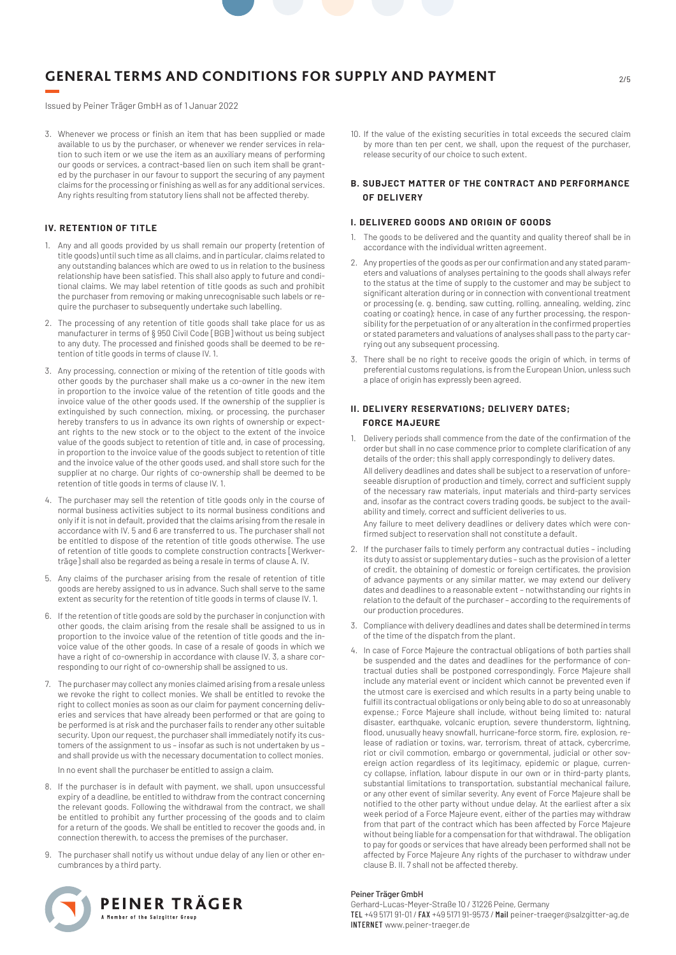Issued by Peiner Träger GmbH as of 1 Januar 2022

3. Whenever we process or finish an item that has been supplied or made available to us by the purchaser, or whenever we render services in relation to such item or we use the item as an auxiliary means of performing our goods or services, a contract-based lien on such item shall be granted by the purchaser in our favour to support the securing of any payment claims for the processing or finishing as well as for any additional services. Any rights resulting from statutory liens shall not be affected thereby.

# **IV. RETENTION OF TITLE**

- 1. Any and all goods provided by us shall remain our property (retention of title goods) until such time as all claims, and in particular, claims related to any outstanding balances which are owed to us in relation to the business relationship have been satisfied. This shall also apply to future and conditional claims. We may label retention of title goods as such and prohibit the purchaser from removing or making unrecognisable such labels or require the purchaser to subsequently undertake such labelling.
- 2. The processing of any retention of title goods shall take place for us as manufacturer in terms of § 950 Civil Code [BGB] without us being subject to any duty. The processed and finished goods shall be deemed to be retention of title goods in terms of clause IV. 1.
- 3. Any processing, connection or mixing of the retention of title goods with other goods by the purchaser shall make us a co-owner in the new item in proportion to the invoice value of the retention of title goods and the invoice value of the other goods used. If the ownership of the supplier is extinguished by such connection, mixing, or processing, the purchaser hereby transfers to us in advance its own rights of ownership or expectant rights to the new stock or to the object to the extent of the invoice value of the goods subject to retention of title and, in case of processing, in proportion to the invoice value of the goods subject to retention of title and the invoice value of the other goods used, and shall store such for the supplier at no charge. Our rights of co-ownership shall be deemed to be retention of title goods in terms of clause IV. 1.
- 4. The purchaser may sell the retention of title goods only in the course of normal business activities subject to its normal business conditions and only if it is not in default, provided that the claims arising from the resale in accordance with IV. 5 and 6 are transferred to us. The purchaser shall not be entitled to dispose of the retention of title goods otherwise. The use of retention of title goods to complete construction contracts [Werkverträge] shall also be regarded as being a resale in terms of clause A. IV.
- 5. Any claims of the purchaser arising from the resale of retention of title goods are hereby assigned to us in advance. Such shall serve to the same extent as security for the retention of title goods in terms of clause IV. 1.
- 6. If the retention of title goods are sold by the purchaser in conjunction with other goods, the claim arising from the resale shall be assigned to us in proportion to the invoice value of the retention of title goods and the invoice value of the other goods. In case of a resale of goods in which we have a right of co-ownership in accordance with clause IV. 3, a share corresponding to our right of co-ownership shall be assigned to us.
- 7. The purchaser may collect any monies claimed arising from a resale unless we revoke the right to collect monies. We shall be entitled to revoke the right to collect monies as soon as our claim for payment concerning deliveries and services that have already been performed or that are going to be performed is at risk and the purchaser fails to render any other suitable security. Upon our request, the purchaser shall immediately notify its customers of the assignment to us – insofar as such is not undertaken by us – and shall provide us with the necessary documentation to collect monies.

In no event shall the purchaser be entitled to assign a claim.

- 8. If the purchaser is in default with payment, we shall, upon unsuccessful expiry of a deadline, be entitled to withdraw from the contract concerning the relevant goods. Following the withdrawal from the contract, we shall be entitled to prohibit any further processing of the goods and to claim for a return of the goods. We shall be entitled to recover the goods and, in connection therewith, to access the premises of the purchaser.
- 9. The purchaser shall notify us without undue delay of any lien or other encumbrances by a third party.



10. If the value of the existing securities in total exceeds the secured claim by more than ten per cent, we shall, upon the request of the purchaser, release security of our choice to such extent.

# **B. SUBJECT MATTER OF THE CONTRACT AND PERFORMANCE OF DELIVERY**

#### **I. DELIVERED GOODS AND ORIGIN OF GOODS**

- 1. The goods to be delivered and the quantity and quality thereof shall be in accordance with the individual written agreement.
- 2. Any properties of the goods as per our confirmation and any stated parameters and valuations of analyses pertaining to the goods shall always refer to the status at the time of supply to the customer and may be subject to significant alteration during or in connection with conventional treatment or processing (e. g. bending, saw cutting, rolling, annealing, welding, zinc coating or coating); hence, in case of any further processing, the responsibility for the perpetuation of or any alteration in the confirmed properties or stated parameters and valuations of analyses shall pass to the party carrying out any subsequent processing.
- 3. There shall be no right to receive goods the origin of which, in terms of preferential customs regulations, is from the European Union, unless such a place of origin has expressly been agreed.

# **II. DELIVERY RESERVATIONS; DELIVERY DATES; FORCE MAJEURE**

- 1. Delivery periods shall commence from the date of the confirmation of the order but shall in no case commence prior to complete clarification of any details of the order; this shall apply correspondingly to delivery dates. All delivery deadlines and dates shall be subject to a reservation of unforeseeable disruption of production and timely, correct and sufficient supply of the necessary raw materials, input materials and third-party services and, insofar as the contract covers trading goods, be subject to the availability and timely, correct and sufficient deliveries to us. Any failure to meet delivery deadlines or delivery dates which were confirmed subject to reservation shall not constitute a default.
- 2. If the purchaser fails to timely perform any contractual duties including its duty to assist or supplementary duties – such as the provision of a letter of credit, the obtaining of domestic or foreign certificates, the provision of advance payments or any similar matter, we may extend our delivery dates and deadlines to a reasonable extent – notwithstanding our rights in relation to the default of the purchaser – according to the requirements of our production procedures.
- 3. Compliance with delivery deadlines and dates shall be determined in terms of the time of the dispatch from the plant.
- 4. In case of Force Majeure the contractual obligations of both parties shall be suspended and the dates and deadlines for the performance of contractual duties shall be postponed correspondingly. Force Majeure shall include any material event or incident which cannot be prevented even if the utmost care is exercised and which results in a party being unable to fulfill its contractual obligations or only being able to do so at unreasonably expense.; Force Majeure shall include, without being limited to: natural disaster, earthquake, volcanic eruption, severe thunderstorm, lightning, flood, unusually heavy snowfall, hurricane-force storm, fire, explosion, release of radiation or toxins, war, terrorism, threat of attack, cybercrime, riot or civil commotion, embargo or governmental, judicial or other sovereign action regardless of its legitimacy, epidemic or plague, currency collapse, inflation, labour dispute in our own or in third-party plants, substantial limitations to transportation, substantial mechanical failure, or any other event of similar severity. Any event of Force Majeure shall be notified to the other party without undue delay. At the earliest after a six week period of a Force Majeure event, either of the parties may withdraw from that part of the contract which has been affected by Force Majeure without being liable for a compensation for that withdrawal. The obligation to pay for goods or services that have already been performed shall not be affected by Force Majeure Any rights of the purchaser to withdraw under clause B. II. 7 shall not be affected thereby.

#### Peiner Träger GmbH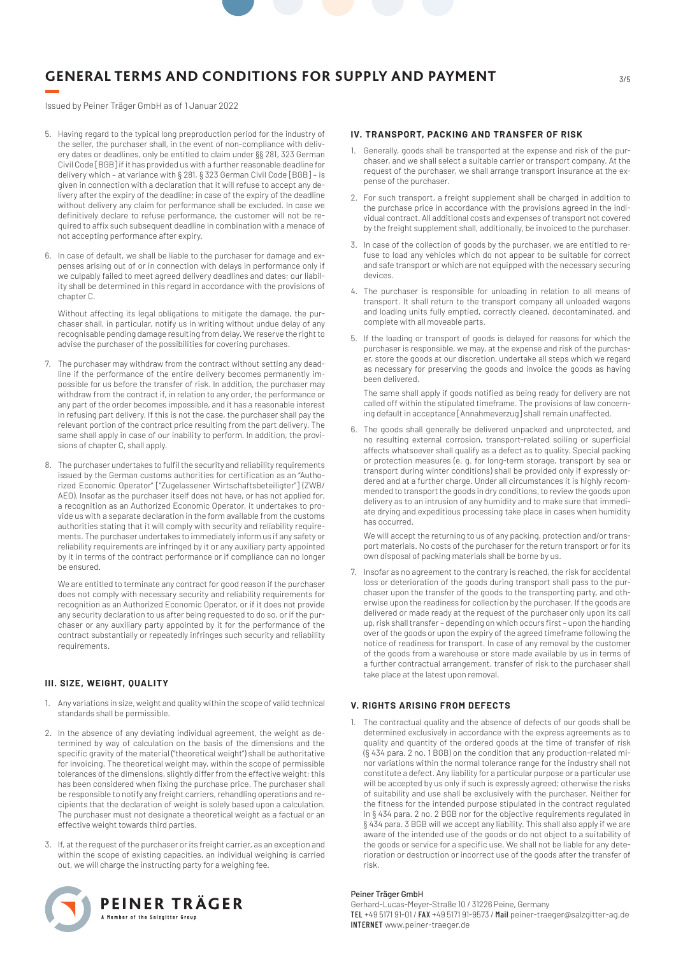3/5

Issued by Peiner Träger GmbH as of 1 Januar 2022

- 5. Having regard to the typical long preproduction period for the industry of the seller, the purchaser shall, in the event of non-compliance with delivery dates or deadlines, only be entitled to claim under §§ 281, 323 German Civil Code [BGB] if it has provided us with a further reasonable deadline for delivery which – at variance with § 281, § 323 German Civil Code [BGB] – is given in connection with a declaration that it will refuse to accept any delivery after the expiry of the deadline; in case of the expiry of the deadline without delivery any claim for performance shall be excluded. In case we definitively declare to refuse performance, the customer will not be required to affix such subsequent deadline in combination with a menace of not accepting performance after expiry.
- 6. In case of default, we shall be liable to the purchaser for damage and expenses arising out of or in connection with delays in performance only if we culpably failed to meet agreed delivery deadlines and dates; our liability shall be determined in this regard in accordance with the provisions of chapter C.

Without affecting its legal obligations to mitigate the damage, the purchaser shall, in particular, notify us in writing without undue delay of any recognisable pending damage resulting from delay. We reserve the right to advise the purchaser of the possibilities for covering purchases.

- 7. The purchaser may withdraw from the contract without setting any deadline if the performance of the entire delivery becomes permanently impossible for us before the transfer of risk. In addition, the purchaser may withdraw from the contract if, in relation to any order, the performance or any part of the order becomes impossible, and it has a reasonable interest in refusing part delivery. If this is not the case, the purchaser shall pay the relevant portion of the contract price resulting from the part delivery. The same shall apply in case of our inability to perform. In addition, the provisions of chapter C, shall apply.
- 8. The purchaser undertakes to fulfil the security and reliability requirements issued by the German customs authorities for certification as an "Authorized Economic Operator" ["Zugelassener Wirtschaftsbeteiligter"] (ZWB/ AEO). Insofar as the purchaser itself does not have, or has not applied for, a recognition as an Authorized Economic Operator, it undertakes to provide us with a separate declaration in the form available from the customs authorities stating that it will comply with security and reliability requirements. The purchaser undertakes to immediately inform us if any safety or reliability requirements are infringed by it or any auxiliary party appointed by it in terms of the contract performance or if compliance can no longer be ensured.

We are entitled to terminate any contract for good reason if the purchaser does not comply with necessary security and reliability requirements for recognition as an Authorized Economic Operator, or if it does not provide any security declaration to us after being requested to do so, or if the purchaser or any auxiliary party appointed by it for the performance of the contract substantially or repeatedly infringes such security and reliability requirements.

# **III. SIZE, WEIGHT, QUALITY**

- 1. Any variations in size, weight and quality within the scope of valid technical standards shall be permissible.
- 2. In the absence of any deviating individual agreement, the weight as determined by way of calculation on the basis of the dimensions and the specific gravity of the material ("theoretical weight") shall be authoritative for invoicing. The theoretical weight may, within the scope of permissible tolerances of the dimensions, slightly differ from the effective weight; this has been considered when fixing the purchase price. The purchaser shall be responsible to notify any freight carriers, rehandling operations and recipients that the declaration of weight is solely based upon a calculation. The purchaser must not designate a theoretical weight as a factual or an effective weight towards third parties.
- 3. If, at the request of the purchaser or its freight carrier, as an exception and within the scope of existing capacities, an individual weighing is carried out, we will charge the instructing party for a weighing fee.



## **IV. TRANSPORT, PACKING AND TRANSFER OF RISK**

- 1. Generally, goods shall be transported at the expense and risk of the purchaser, and we shall select a suitable carrier or transport company. At the request of the purchaser, we shall arrange transport insurance at the expense of the purchaser.
- 2. For such transport, a freight supplement shall be charged in addition to the purchase price in accordance with the provisions agreed in the individual contract. All additional costs and expenses of transport not covered by the freight supplement shall, additionally, be invoiced to the purchaser.
- 3. In case of the collection of goods by the purchaser, we are entitled to refuse to load any vehicles which do not appear to be suitable for correct and safe transport or which are not equipped with the necessary securing devices.
- 4. The purchaser is responsible for unloading in relation to all means of transport. It shall return to the transport company all unloaded wagons and loading units fully emptied, correctly cleaned, decontaminated, and complete with all moveable parts.
- 5. If the loading or transport of goods is delayed for reasons for which the purchaser is responsible, we may, at the expense and risk of the purchaser, store the goods at our discretion, undertake all steps which we regard as necessary for preserving the goods and invoice the goods as having been delivered.

The same shall apply if goods notified as being ready for delivery are not called off within the stipulated timeframe. The provisions of law concerning default in acceptance [Annahmeverzug] shall remain unaffected.

6. The goods shall generally be delivered unpacked and unprotected, and no resulting external corrosion, transport-related soiling or superficial affects whatsoever shall qualify as a defect as to quality. Special packing or protection measures (e. g. for long-term storage, transport by sea or transport during winter conditions) shall be provided only if expressly ordered and at a further charge. Under all circumstances it is highly recommended to transport the goods in dry conditions, to review the goods upon delivery as to an intrusion of any humidity and to make sure that immediate drying and expeditious processing take place in cases when humidity has occurred.

We will accept the returning to us of any packing, protection and/or transport materials. No costs of the purchaser for the return transport or for its own disposal of packing materials shall be borne by us.

7. Insofar as no agreement to the contrary is reached, the risk for accidental loss or deterioration of the goods during transport shall pass to the purchaser upon the transfer of the goods to the transporting party, and otherwise upon the readiness for collection by the purchaser. If the goods are delivered or made ready at the request of the purchaser only upon its call up, risk shall transfer – depending on which occurs first – upon the handing over of the goods or upon the expiry of the agreed timeframe following the notice of readiness for transport. In case of any removal by the customer of the goods from a warehouse or store made available by us in terms of a further contractual arrangement, transfer of risk to the purchaser shall take place at the latest upon removal.

#### **V. RIGHTS ARISING FROM DEFECTS**

1. The contractual quality and the absence of defects of our goods shall be determined exclusively in accordance with the express agreements as to quality and quantity of the ordered goods at the time of transfer of risk (§ 434 para. 2 no. 1 BGB) on the condition that any production-related minor variations within the normal tolerance range for the industry shall not constitute a defect. Any liability for a particular purpose or a particular use will be accepted by us only if such is expressly agreed; otherwise the risks of suitability and use shall be exclusively with the purchaser. Neither for the fitness for the intended purpose stipulated in the contract regulated in § 434 para. 2 no. 2 BGB nor for the objective requirements regulated in § 434 para. 3 BGB will we accept any liability. This shall also apply if we are aware of the intended use of the goods or do not object to a suitability of the goods or service for a specific use. We shall not be liable for any deterioration or destruction or incorrect use of the goods after the transfer of risk.

#### Peiner Träger GmbH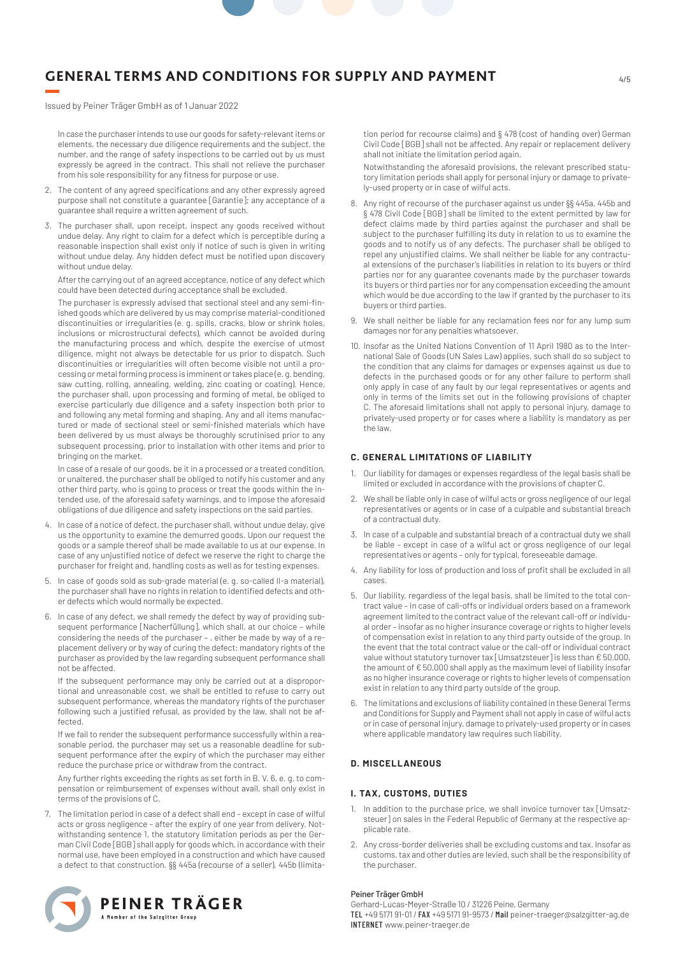Issued by Peiner Träger GmbH as of 1 Januar 2022

In case the purchaser intends to use our goods for safety-relevant items or elements, the necessary due diligence requirements and the subject, the number, and the range of safety inspections to be carried out by us must expressly be agreed in the contract. This shall not relieve the purchaser from his sole responsibility for any fitness for purpose or use.

- 2. The content of any agreed specifications and any other expressly agreed purpose shall not constitute a guarantee [Garantie]; any acceptance of a guarantee shall require a written agreement of such.
- 3. The purchaser shall, upon receipt, inspect any goods received without undue delay. Any right to claim for a defect which is perceptible during a reasonable inspection shall exist only if notice of such is given in writing without undue delay. Any hidden defect must be notified upon discovery without undue delay.

After the carrying out of an agreed acceptance, notice of any defect which could have been detected during acceptance shall be excluded.

The purchaser is expressly advised that sectional steel and any semi-finished goods which are delivered by us may comprise material-conditioned discontinuities or irregularities (e. g. spills, cracks, blow or shrink holes, inclusions or microstructural defects), which cannot be avoided during the manufacturing process and which, despite the exercise of utmost diligence, might not always be detectable for us prior to dispatch. Such discontinuities or irregularities will often become visible not until a processing or metal forming process is imminent or takes place (e. g. bending, saw cutting, rolling, annealing, welding, zinc coating or coating). Hence, the purchaser shall, upon processing and forming of metal, be obliged to exercise particularly due diligence and a safety inspection both prior to and following any metal forming and shaping. Any and all items manufactured or made of sectional steel or semi-finished materials which have been delivered by us must always be thoroughly scrutinised prior to any subsequent processing, prior to installation with other items and prior to bringing on the market.

In case of a resale of our goods, be it in a processed or a treated condition, or unaltered, the purchaser shall be obliged to notify his customer and any other third party, who is going to process or treat the goods within the intended use, of the aforesaid safety warnings, and to impose the aforesaid obligations of due diligence and safety inspections on the said parties.

- 4. In case of a notice of defect, the purchaser shall, without undue delay, give us the opportunity to examine the demurred goods. Upon our request the goods or a sample thereof shall be made available to us at our expense. In case of any unjustified notice of defect we reserve the right to charge the purchaser for freight and, handling costs as well as for testing expenses.
- 5. In case of goods sold as sub-grade material (e. g. so-called II-a material), the purchaser shall have no rights in relation to identified defects and other defects which would normally be expected.
- 6. In case of any defect, we shall remedy the defect by way of providing subsequent performance [Nacherfüllung], which shall, at our choice – while considering the needs of the purchaser – , either be made by way of a replacement delivery or by way of curing the defect; mandatory rights of the purchaser as provided by the law regarding subsequent performance shall not be affected.

If the subsequent performance may only be carried out at a disproportional and unreasonable cost, we shall be entitled to refuse to carry out subsequent performance, whereas the mandatory rights of the purchaser following such a justified refusal, as provided by the law, shall not be affected.

If we fail to render the subsequent performance successfully within a reasonable period, the purchaser may set us a reasonable deadline for subsequent performance after the expiry of which the purchaser may either reduce the purchase price or withdraw from the contract.

Any further rights exceeding the rights as set forth in B. V. 6, e. g. to compensation or reimbursement of expenses without avail, shall only exist in terms of the provisions of C.

7. The limitation period in case of a defect shall end – except in case of wilful acts or gross negligence – after the expiry of one year from delivery. Notwithstanding sentence 1, the statutory limitation periods as per the German Civil Code [BGB] shall apply for goods which, in accordance with their normal use, have been employed in a construction and which have caused a defect to that construction. §§ 445a (recourse of a seller), 445b (limita-



tion period for recourse claims) and § 478 (cost of handing over) German Civil Code [BGB] shall not be affected. Any repair or replacement delivery shall not initiate the limitation period again.

Notwithstanding the aforesaid provisions, the relevant prescribed statutory limitation periods shall apply for personal injury or damage to privately-used property or in case of wilful acts.

- 8. Any right of recourse of the purchaser against us under §§ 445a, 445b and § 478 Civil Code [BGB] shall be limited to the extent permitted by law for defect claims made by third parties against the purchaser and shall be subject to the purchaser fulfilling its duty in relation to us to examine the goods and to notify us of any defects. The purchaser shall be obliged to repel any unjustified claims. We shall neither be liable for any contractual extensions of the purchaser's liabilities in relation to its buyers or third parties nor for any guarantee covenants made by the purchaser towards its buyers or third parties nor for any compensation exceeding the amount which would be due according to the law if granted by the purchaser to its buyers or third parties.
- 9. We shall neither be liable for any reclamation fees nor for any lump sum damages nor for any penalties whatsoever.
- 10. Insofar as the United Nations Convention of 11 April 1980 as to the International Sale of Goods (UN Sales Law) applies, such shall do so subject to the condition that any claims for damages or expenses against us due to defects in the purchased goods or for any other failure to perform shall only apply in case of any fault by our legal representatives or agents and only in terms of the limits set out in the following provisions of chapter C. The aforesaid limitations shall not apply to personal injury, damage to privately-used property or for cases where a liability is mandatory as per the law.

## **C. GENERAL LIMITATIONS OF LIABILITY**

- 1. Our liability for damages or expenses regardless of the legal basis shall be limited or excluded in accordance with the provisions of chapter C.
- 2. We shall be liable only in case of wilful acts or gross negligence of our legal representatives or agents or in case of a culpable and substantial breach of a contractual duty.
- 3. In case of a culpable and substantial breach of a contractual duty we shall be liable – except in case of a wilful act or gross negligence of our legal representatives or agents – only for typical, foreseeable damage.
- 4. Any liability for loss of production and loss of profit shall be excluded in all cases.
- 5. Our liability, regardless of the legal basis, shall be limited to the total contract value – in case of call-offs or individual orders based on a framework agreement limited to the contract value of the relevant call-off or individual order – insofar as no higher insurance coverage or rights to higher levels of compensation exist in relation to any third party outside of the group. In the event that the total contract value or the call-off or individual contract value without statutory turnover tax [Umsatzsteuer] is less than € 50,000, the amount of € 50,000 shall apply as the maximum level of liability insofar as no higher insurance coverage or rights to higher levels of compensation exist in relation to any third party outside of the group.
- 6. The limitations and exclusions of liability contained in these General Terms and Conditions for Supply and Payment shall not apply in case of wilful acts or in case of personal injury, damage to privately-used property or in cases where applicable mandatory law requires such liability.

### **D. MISCELLANEOUS**

### **I. TAX, CUSTOMS, DUTIES**

- 1. In addition to the purchase price, we shall invoice turnover tax [Umsatzsteuer] on sales in the Federal Republic of Germany at the respective applicable rate.
- 2. Any cross-border deliveries shall be excluding customs and tax. Insofar as customs, tax and other duties are levied, such shall be the responsibility of the purchaser.

#### Peiner Träger GmbH